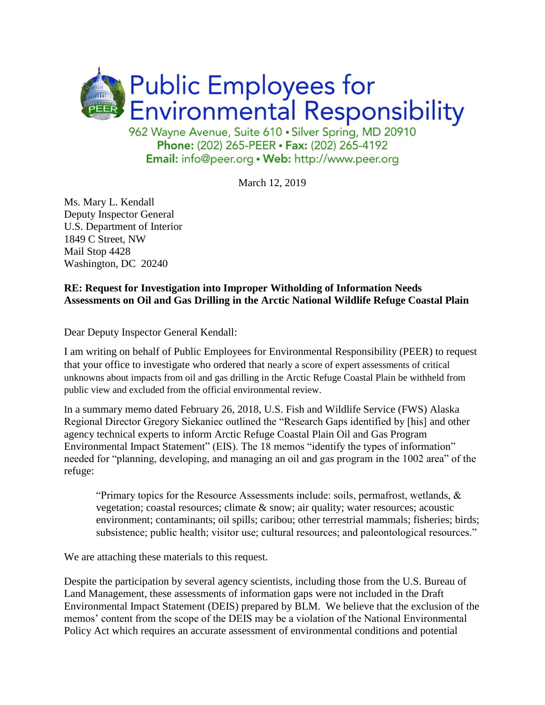

962 Wayne Avenue, Suite 610 · Silver Spring, MD 20910 Phone: (202) 265-PEER · Fax: (202) 265-4192 Email: info@peer.org . Web: http://www.peer.org

March 12, 2019

Ms. Mary L. Kendall Deputy Inspector General U.S. Department of Interior 1849 C Street, NW Mail Stop 4428 Washington, DC 20240

## **RE: Request for Investigation into Improper Witholding of Information Needs Assessments on Oil and Gas Drilling in the Arctic National Wildlife Refuge Coastal Plain**

Dear Deputy Inspector General Kendall:

I am writing on behalf of Public Employees for Environmental Responsibility (PEER) to request that your office to investigate who ordered that nearly a score of expert assessments of critical unknowns about impacts from oil and gas drilling in the Arctic Refuge Coastal Plain be withheld from public view and excluded from the official environmental review.

In a summary memo dated February 26, 2018, U.S. Fish and Wildlife Service (FWS) Alaska Regional Director Gregory Siekaniec outlined the "Research Gaps identified by [his] and other agency technical experts to inform Arctic Refuge Coastal Plain Oil and Gas Program Environmental Impact Statement" (EIS). The 18 memos "identify the types of information" needed for "planning, developing, and managing an oil and gas program in the 1002 area" of the refuge:

"Primary topics for the Resource Assessments include: soils, permafrost, wetlands,  $\&$ vegetation; coastal resources; climate & snow; air quality; water resources; acoustic environment; contaminants; oil spills; caribou; other terrestrial mammals; fisheries; birds; subsistence; public health; visitor use; cultural resources; and paleontological resources."

We are attaching these materials to this request.

Despite the participation by several agency scientists, including those from the U.S. Bureau of Land Management, these assessments of information gaps were not included in the Draft Environmental Impact Statement (DEIS) prepared by BLM. We believe that the exclusion of the memos' content from the scope of the DEIS may be a violation of the National Environmental Policy Act which requires an accurate assessment of environmental conditions and potential